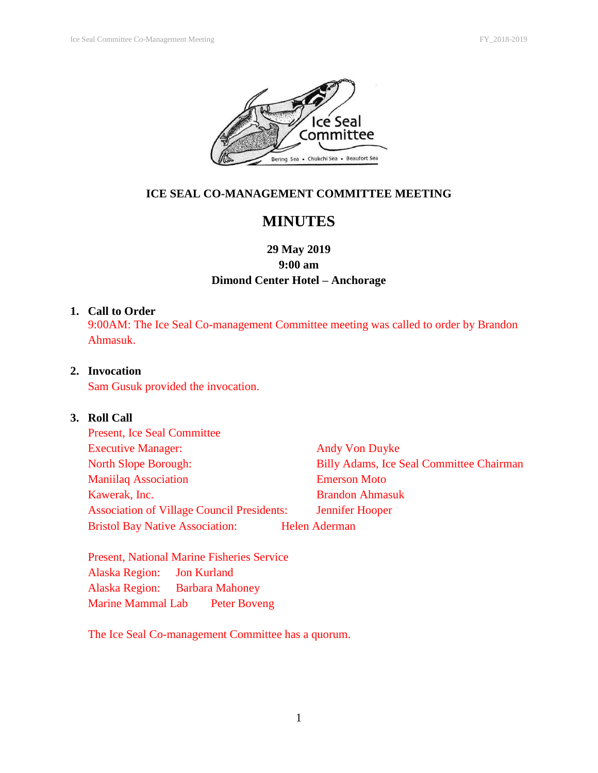

### **ICE SEAL CO-MANAGEMENT COMMITTEE MEETING**

# **MINUTES**

## **29 May 2019 9:00 am Dimond Center Hotel – Anchorage**

#### **1. Call to Order**

9:00AM: The Ice Seal Co-management Committee meeting was called to order by Brandon Ahmasuk.

### **2. Invocation**

Sam Gusuk provided the invocation.

#### **3. Roll Call**

| <b>Present, Ice Seal Committee</b>                |                                                 |
|---------------------------------------------------|-------------------------------------------------|
| <b>Executive Manager:</b>                         | <b>Andy Von Duyke</b>                           |
| <b>North Slope Borough:</b>                       | <b>Billy Adams, Ice Seal Committee Chairman</b> |
| <b>Maniilaq Association</b>                       | <b>Emerson Moto</b>                             |
| Kawerak, Inc.                                     | <b>Brandon Ahmasuk</b>                          |
| <b>Association of Village Council Presidents:</b> | <b>Jennifer Hooper</b>                          |
| <b>Bristol Bay Native Association:</b>            | <b>Helen Aderman</b>                            |

Present, National Marine Fisheries Service Alaska Region: Jon Kurland Alaska Region: Barbara Mahoney Marine Mammal Lab Peter Boveng

The Ice Seal Co-management Committee has a quorum.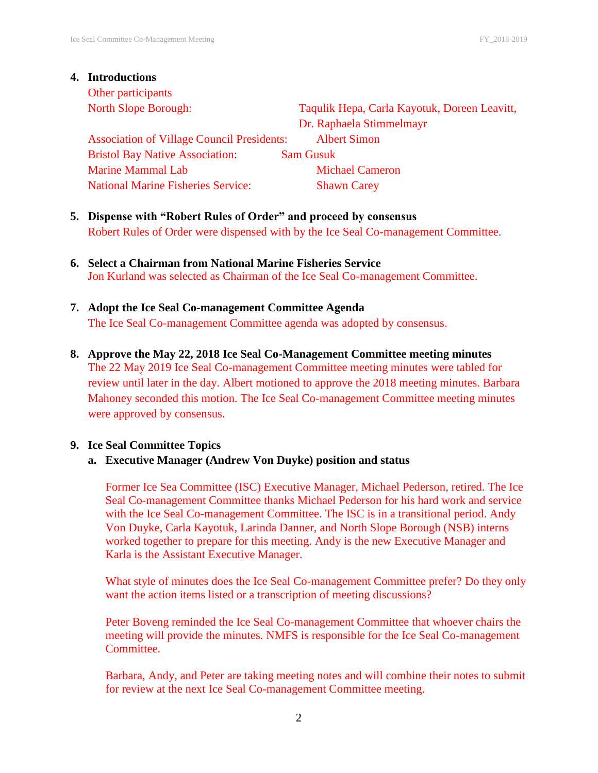# **4. Introductions** Other participants

North Slope Borough: Taqulik Hepa, Carla Kayotuk, Doreen Leavitt, Dr. Raphaela Stimmelmayr Association of Village Council Presidents: Albert Simon Bristol Bay Native Association: Sam Gusuk Marine Mammal Lab Michael Cameron National Marine Fisheries Service: Shawn Carey

- **5. Dispense with "Robert Rules of Order" and proceed by consensus** Robert Rules of Order were dispensed with by the Ice Seal Co-management Committee.
- **6. Select a Chairman from National Marine Fisheries Service**  Jon Kurland was selected as Chairman of the Ice Seal Co-management Committee.
- **7. Adopt the Ice Seal Co-management Committee Agenda** The Ice Seal Co-management Committee agenda was adopted by consensus.
- **8. Approve the May 22, 2018 Ice Seal Co-Management Committee meeting minutes** The 22 May 2019 Ice Seal Co-management Committee meeting minutes were tabled for review until later in the day. Albert motioned to approve the 2018 meeting minutes. Barbara Mahoney seconded this motion. The Ice Seal Co-management Committee meeting minutes were approved by consensus.

#### **9. Ice Seal Committee Topics**

#### **a. Executive Manager (Andrew Von Duyke) position and status**

Former Ice Sea Committee (ISC) Executive Manager, Michael Pederson, retired. The Ice Seal Co-management Committee thanks Michael Pederson for his hard work and service with the Ice Seal Co-management Committee. The ISC is in a transitional period. Andy Von Duyke, Carla Kayotuk, Larinda Danner, and North Slope Borough (NSB) interns worked together to prepare for this meeting. Andy is the new Executive Manager and Karla is the Assistant Executive Manager.

What style of minutes does the Ice Seal Co-management Committee prefer? Do they only want the action items listed or a transcription of meeting discussions?

Peter Boveng reminded the Ice Seal Co-management Committee that whoever chairs the meeting will provide the minutes. NMFS is responsible for the Ice Seal Co-management Committee.

Barbara, Andy, and Peter are taking meeting notes and will combine their notes to submit for review at the next Ice Seal Co-management Committee meeting.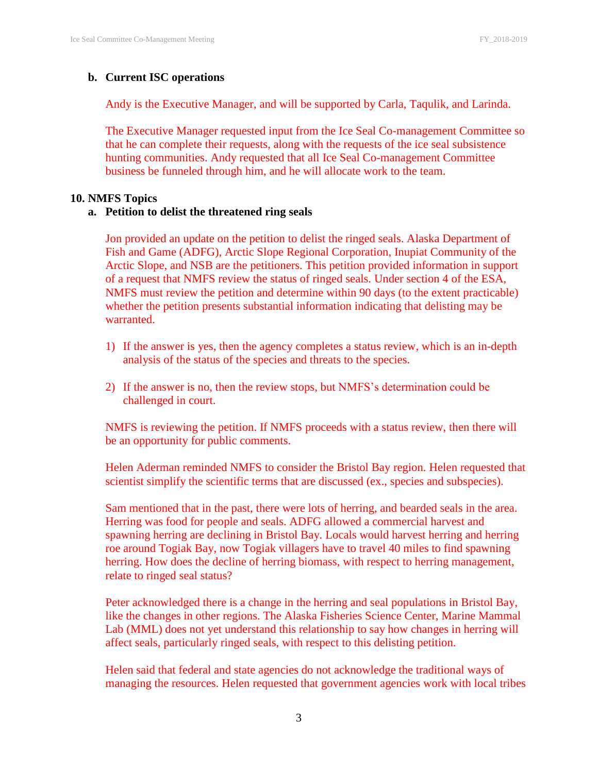#### **b. Current ISC operations**

Andy is the Executive Manager, and will be supported by Carla, Taqulik, and Larinda.

The Executive Manager requested input from the Ice Seal Co-management Committee so that he can complete their requests, along with the requests of the ice seal subsistence hunting communities. Andy requested that all Ice Seal Co-management Committee business be funneled through him, and he will allocate work to the team.

#### **10. NMFS Topics**

#### **a. Petition to delist the threatened ring seals**

Jon provided an update on the petition to delist the ringed seals. Alaska Department of Fish and Game (ADFG), Arctic Slope Regional Corporation, Inupiat Community of the Arctic Slope, and NSB are the petitioners. This petition provided information in support of a request that NMFS review the status of ringed seals. Under section 4 of the ESA, NMFS must review the petition and determine within 90 days (to the extent practicable) whether the petition presents substantial information indicating that delisting may be warranted.

- 1) If the answer is yes, then the agency completes a status review, which is an in-depth analysis of the status of the species and threats to the species.
- 2) If the answer is no, then the review stops, but NMFS's determination could be challenged in court.

NMFS is reviewing the petition. If NMFS proceeds with a status review, then there will be an opportunity for public comments.

Helen Aderman reminded NMFS to consider the Bristol Bay region. Helen requested that scientist simplify the scientific terms that are discussed (ex., species and subspecies).

Sam mentioned that in the past, there were lots of herring, and bearded seals in the area. Herring was food for people and seals. ADFG allowed a commercial harvest and spawning herring are declining in Bristol Bay. Locals would harvest herring and herring roe around Togiak Bay, now Togiak villagers have to travel 40 miles to find spawning herring. How does the decline of herring biomass, with respect to herring management, relate to ringed seal status?

Peter acknowledged there is a change in the herring and seal populations in Bristol Bay, like the changes in other regions. The Alaska Fisheries Science Center, Marine Mammal Lab (MML) does not yet understand this relationship to say how changes in herring will affect seals, particularly ringed seals, with respect to this delisting petition.

Helen said that federal and state agencies do not acknowledge the traditional ways of managing the resources. Helen requested that government agencies work with local tribes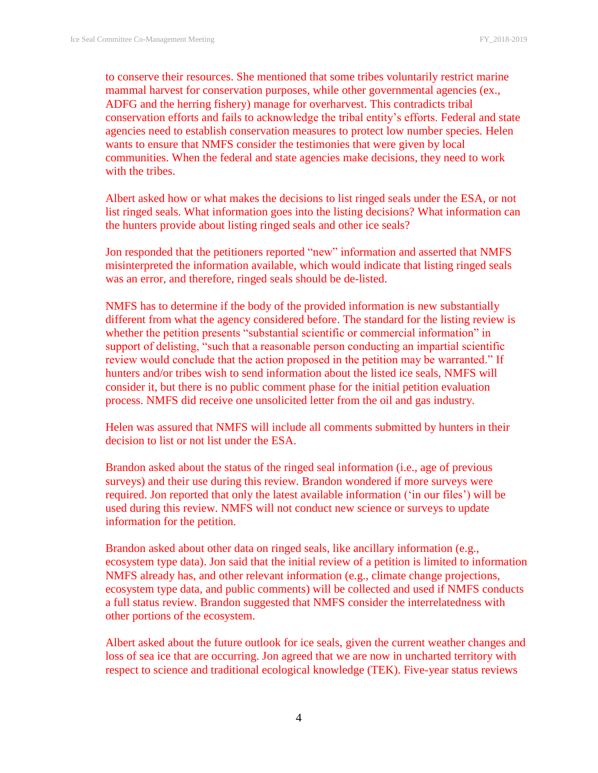to conserve their resources. She mentioned that some tribes voluntarily restrict marine mammal harvest for conservation purposes, while other governmental agencies (ex., ADFG and the herring fishery) manage for overharvest. This contradicts tribal conservation efforts and fails to acknowledge the tribal entity's efforts. Federal and state agencies need to establish conservation measures to protect low number species. Helen wants to ensure that NMFS consider the testimonies that were given by local communities. When the federal and state agencies make decisions, they need to work with the tribes.

Albert asked how or what makes the decisions to list ringed seals under the ESA, or not list ringed seals. What information goes into the listing decisions? What information can the hunters provide about listing ringed seals and other ice seals?

Jon responded that the petitioners reported "new" information and asserted that NMFS misinterpreted the information available, which would indicate that listing ringed seals was an error, and therefore, ringed seals should be de-listed.

NMFS has to determine if the body of the provided information is new substantially different from what the agency considered before. The standard for the listing review is whether the petition presents "substantial scientific or commercial information" in support of delisting, "such that a reasonable person conducting an impartial scientific review would conclude that the action proposed in the petition may be warranted." If hunters and/or tribes wish to send information about the listed ice seals, NMFS will consider it, but there is no public comment phase for the initial petition evaluation process. NMFS did receive one unsolicited letter from the oil and gas industry.

Helen was assured that NMFS will include all comments submitted by hunters in their decision to list or not list under the ESA.

Brandon asked about the status of the ringed seal information (i.e., age of previous surveys) and their use during this review. Brandon wondered if more surveys were required. Jon reported that only the latest available information ('in our files') will be used during this review. NMFS will not conduct new science or surveys to update information for the petition.

Brandon asked about other data on ringed seals, like ancillary information (e.g., ecosystem type data). Jon said that the initial review of a petition is limited to information NMFS already has, and other relevant information (e.g., climate change projections, ecosystem type data, and public comments) will be collected and used if NMFS conducts a full status review. Brandon suggested that NMFS consider the interrelatedness with other portions of the ecosystem.

Albert asked about the future outlook for ice seals, given the current weather changes and loss of sea ice that are occurring. Jon agreed that we are now in uncharted territory with respect to science and traditional ecological knowledge (TEK). Five-year status reviews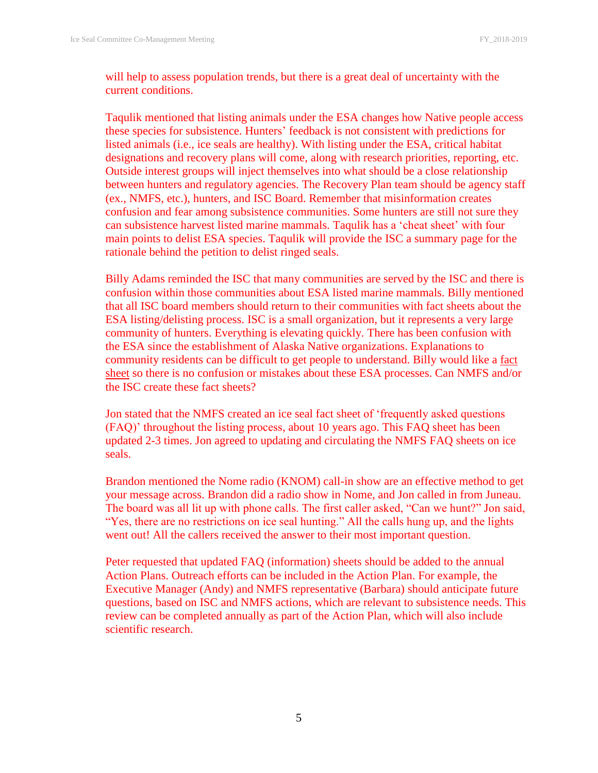will help to assess population trends, but there is a great deal of uncertainty with the current conditions.

Taqulik mentioned that listing animals under the ESA changes how Native people access these species for subsistence. Hunters' feedback is not consistent with predictions for listed animals (i.e., ice seals are healthy). With listing under the ESA, critical habitat designations and recovery plans will come, along with research priorities, reporting, etc. Outside interest groups will inject themselves into what should be a close relationship between hunters and regulatory agencies. The Recovery Plan team should be agency staff (ex., NMFS, etc.), hunters, and ISC Board. Remember that misinformation creates confusion and fear among subsistence communities. Some hunters are still not sure they can subsistence harvest listed marine mammals. Taqulik has a 'cheat sheet' with four main points to delist ESA species. Taqulik will provide the ISC a summary page for the rationale behind the petition to delist ringed seals.

Billy Adams reminded the ISC that many communities are served by the ISC and there is confusion within those communities about ESA listed marine mammals. Billy mentioned that all ISC board members should return to their communities with fact sheets about the ESA listing/delisting process. ISC is a small organization, but it represents a very large community of hunters. Everything is elevating quickly. There has been confusion with the ESA since the establishment of Alaska Native organizations. Explanations to community residents can be difficult to get people to understand. Billy would like a fact sheet so there is no confusion or mistakes about these ESA processes. Can NMFS and/or the ISC create these fact sheets?

Jon stated that the NMFS created an ice seal fact sheet of 'frequently asked questions (FAQ)' throughout the listing process, about 10 years ago. This FAQ sheet has been updated 2-3 times. Jon agreed to updating and circulating the NMFS FAQ sheets on ice seals.

Brandon mentioned the Nome radio (KNOM) call-in show are an effective method to get your message across. Brandon did a radio show in Nome, and Jon called in from Juneau. The board was all lit up with phone calls. The first caller asked, "Can we hunt?" Jon said, "Yes, there are no restrictions on ice seal hunting." All the calls hung up, and the lights went out! All the callers received the answer to their most important question.

Peter requested that updated FAQ (information) sheets should be added to the annual Action Plans. Outreach efforts can be included in the Action Plan. For example, the Executive Manager (Andy) and NMFS representative (Barbara) should anticipate future questions, based on ISC and NMFS actions, which are relevant to subsistence needs. This review can be completed annually as part of the Action Plan, which will also include scientific research.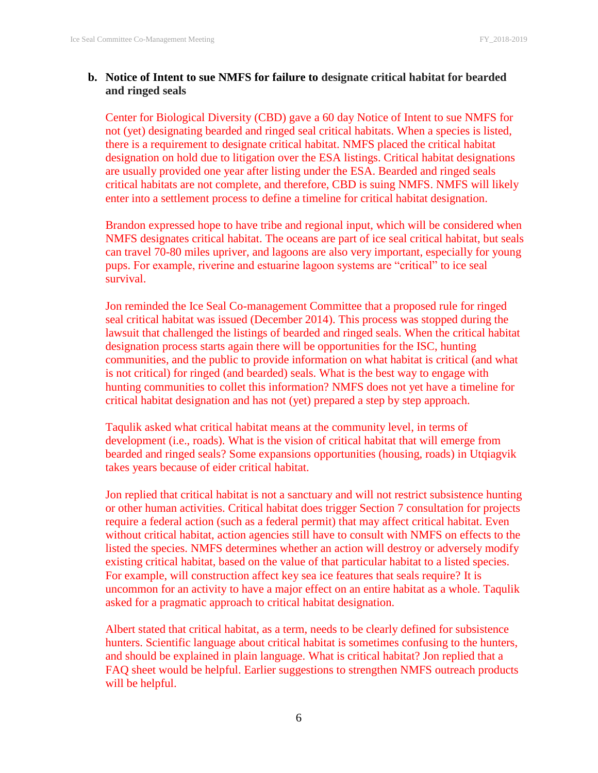#### **b. Notice of Intent to sue NMFS for failure to designate critical habitat for bearded and ringed seals**

Center for Biological Diversity (CBD) gave a 60 day Notice of Intent to sue NMFS for not (yet) designating bearded and ringed seal critical habitats. When a species is listed, there is a requirement to designate critical habitat. NMFS placed the critical habitat designation on hold due to litigation over the ESA listings. Critical habitat designations are usually provided one year after listing under the ESA. Bearded and ringed seals critical habitats are not complete, and therefore, CBD is suing NMFS. NMFS will likely enter into a settlement process to define a timeline for critical habitat designation.

Brandon expressed hope to have tribe and regional input, which will be considered when NMFS designates critical habitat. The oceans are part of ice seal critical habitat, but seals can travel 70-80 miles upriver, and lagoons are also very important, especially for young pups. For example, riverine and estuarine lagoon systems are "critical" to ice seal survival.

Jon reminded the Ice Seal Co-management Committee that a proposed rule for ringed seal critical habitat was issued (December 2014). This process was stopped during the lawsuit that challenged the listings of bearded and ringed seals. When the critical habitat designation process starts again there will be opportunities for the ISC, hunting communities, and the public to provide information on what habitat is critical (and what is not critical) for ringed (and bearded) seals. What is the best way to engage with hunting communities to collet this information? NMFS does not yet have a timeline for critical habitat designation and has not (yet) prepared a step by step approach.

Taqulik asked what critical habitat means at the community level, in terms of development (i.e., roads). What is the vision of critical habitat that will emerge from bearded and ringed seals? Some expansions opportunities (housing, roads) in Utqiagvik takes years because of eider critical habitat.

Jon replied that critical habitat is not a sanctuary and will not restrict subsistence hunting or other human activities. Critical habitat does trigger Section 7 consultation for projects require a federal action (such as a federal permit) that may affect critical habitat. Even without critical habitat, action agencies still have to consult with NMFS on effects to the listed the species. NMFS determines whether an action will destroy or adversely modify existing critical habitat, based on the value of that particular habitat to a listed species. For example, will construction affect key sea ice features that seals require? It is uncommon for an activity to have a major effect on an entire habitat as a whole. Taqulik asked for a pragmatic approach to critical habitat designation.

Albert stated that critical habitat, as a term, needs to be clearly defined for subsistence hunters. Scientific language about critical habitat is sometimes confusing to the hunters, and should be explained in plain language. What is critical habitat? Jon replied that a FAQ sheet would be helpful. Earlier suggestions to strengthen NMFS outreach products will be helpful.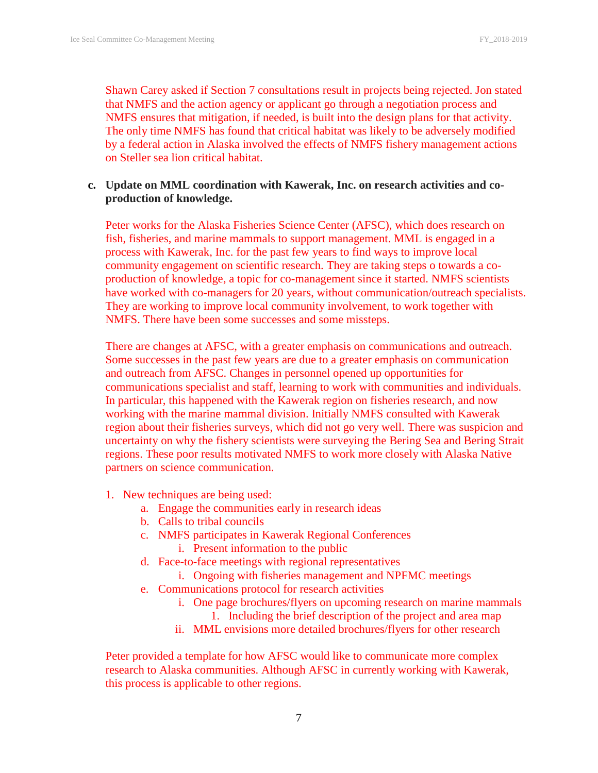Shawn Carey asked if Section 7 consultations result in projects being rejected. Jon stated that NMFS and the action agency or applicant go through a negotiation process and NMFS ensures that mitigation, if needed, is built into the design plans for that activity. The only time NMFS has found that critical habitat was likely to be adversely modified by a federal action in Alaska involved the effects of NMFS fishery management actions on Steller sea lion critical habitat.

#### **c. Update on MML coordination with Kawerak, Inc. on research activities and coproduction of knowledge.**

Peter works for the Alaska Fisheries Science Center (AFSC), which does research on fish, fisheries, and marine mammals to support management. MML is engaged in a process with Kawerak, Inc. for the past few years to find ways to improve local community engagement on scientific research. They are taking steps o towards a coproduction of knowledge, a topic for co-management since it started. NMFS scientists have worked with co-managers for 20 years, without communication/outreach specialists. They are working to improve local community involvement, to work together with NMFS. There have been some successes and some missteps.

There are changes at AFSC, with a greater emphasis on communications and outreach. Some successes in the past few years are due to a greater emphasis on communication and outreach from AFSC. Changes in personnel opened up opportunities for communications specialist and staff, learning to work with communities and individuals. In particular, this happened with the Kawerak region on fisheries research, and now working with the marine mammal division. Initially NMFS consulted with Kawerak region about their fisheries surveys, which did not go very well. There was suspicion and uncertainty on why the fishery scientists were surveying the Bering Sea and Bering Strait regions. These poor results motivated NMFS to work more closely with Alaska Native partners on science communication.

- 1. New techniques are being used:
	- a. Engage the communities early in research ideas
	- b. Calls to tribal councils
	- c. NMFS participates in Kawerak Regional Conferences
		- i. Present information to the public
	- d. Face-to-face meetings with regional representatives
		- i. Ongoing with fisheries management and NPFMC meetings
	- e. Communications protocol for research activities
		- i. One page brochures/flyers on upcoming research on marine mammals 1. Including the brief description of the project and area map
		- ii. MML envisions more detailed brochures/flyers for other research

Peter provided a template for how AFSC would like to communicate more complex research to Alaska communities. Although AFSC in currently working with Kawerak, this process is applicable to other regions.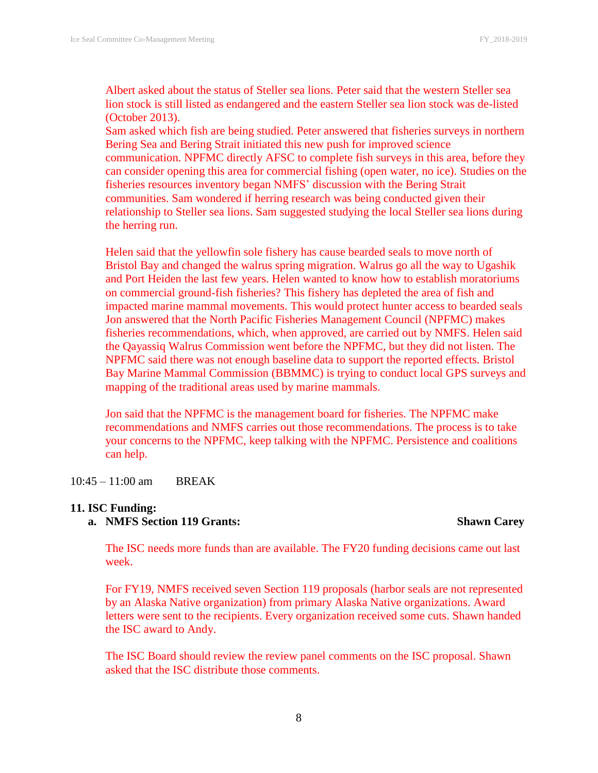Albert asked about the status of Steller sea lions. Peter said that the western Steller sea lion stock is still listed as endangered and the eastern Steller sea lion stock was de-listed (October 2013).

Sam asked which fish are being studied. Peter answered that fisheries surveys in northern Bering Sea and Bering Strait initiated this new push for improved science communication. NPFMC directly AFSC to complete fish surveys in this area, before they can consider opening this area for commercial fishing (open water, no ice). Studies on the fisheries resources inventory began NMFS' discussion with the Bering Strait communities. Sam wondered if herring research was being conducted given their relationship to Steller sea lions. Sam suggested studying the local Steller sea lions during the herring run.

Helen said that the yellowfin sole fishery has cause bearded seals to move north of Bristol Bay and changed the walrus spring migration. Walrus go all the way to Ugashik and Port Heiden the last few years. Helen wanted to know how to establish moratoriums on commercial ground-fish fisheries? This fishery has depleted the area of fish and impacted marine mammal movements. This would protect hunter access to bearded seals Jon answered that the North Pacific Fisheries Management Council (NPFMC) makes fisheries recommendations, which, when approved, are carried out by NMFS. Helen said the Qayassiq Walrus Commission went before the NPFMC, but they did not listen. The NPFMC said there was not enough baseline data to support the reported effects. Bristol Bay Marine Mammal Commission (BBMMC) is trying to conduct local GPS surveys and mapping of the traditional areas used by marine mammals.

Jon said that the NPFMC is the management board for fisheries. The NPFMC make recommendations and NMFS carries out those recommendations. The process is to take your concerns to the NPFMC, keep talking with the NPFMC. Persistence and coalitions can help.

10:45 – 11:00 am BREAK

#### **11. ISC Funding:**

#### **a. NMFS Section 119 Grants: Shawn Carey**

The ISC needs more funds than are available. The FY20 funding decisions came out last week.

For FY19, NMFS received seven Section 119 proposals (harbor seals are not represented by an Alaska Native organization) from primary Alaska Native organizations. Award letters were sent to the recipients. Every organization received some cuts. Shawn handed the ISC award to Andy.

The ISC Board should review the review panel comments on the ISC proposal. Shawn asked that the ISC distribute those comments.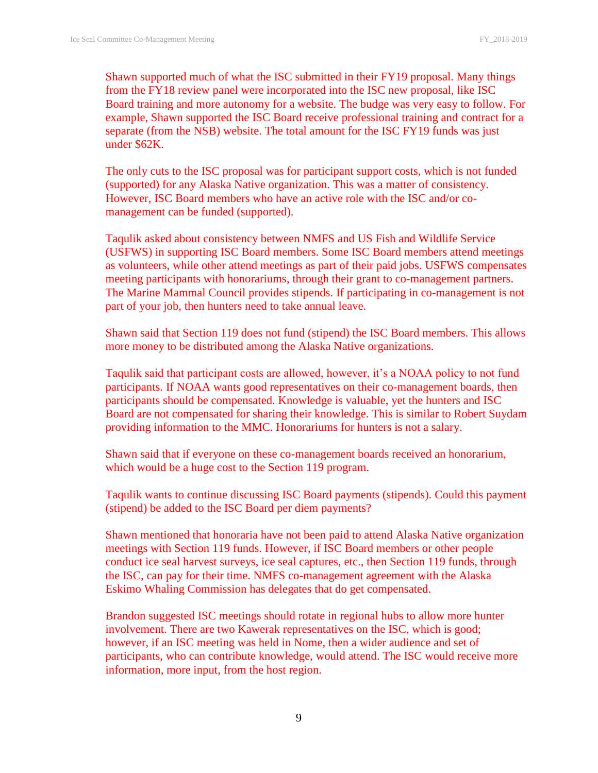Shawn supported much of what the ISC submitted in their FY19 proposal. Many things from the FY18 review panel were incorporated into the ISC new proposal, like ISC Board training and more autonomy for a website. The budge was very easy to follow. For example, Shawn supported the ISC Board receive professional training and contract for a separate (from the NSB) website. The total amount for the ISC FY19 funds was just under \$62K.

The only cuts to the ISC proposal was for participant support costs, which is not funded (supported) for any Alaska Native organization. This was a matter of consistency. However, ISC Board members who have an active role with the ISC and/or comanagement can be funded (supported).

Taqulik asked about consistency between NMFS and US Fish and Wildlife Service (USFWS) in supporting ISC Board members. Some ISC Board members attend meetings as volunteers, while other attend meetings as part of their paid jobs. USFWS compensates meeting participants with honorariums, through their grant to co-management partners. The Marine Mammal Council provides stipends. If participating in co-management is not part of your job, then hunters need to take annual leave.

Shawn said that Section 119 does not fund (stipend) the ISC Board members. This allows more money to be distributed among the Alaska Native organizations.

Taqulik said that participant costs are allowed, however, it's a NOAA policy to not fund participants. If NOAA wants good representatives on their co-management boards, then participants should be compensated. Knowledge is valuable, yet the hunters and ISC Board are not compensated for sharing their knowledge. This is similar to Robert Suydam providing information to the MMC. Honorariums for hunters is not a salary.

Shawn said that if everyone on these co-management boards received an honorarium, which would be a huge cost to the Section 119 program.

Taqulik wants to continue discussing ISC Board payments (stipends). Could this payment (stipend) be added to the ISC Board per diem payments?

Shawn mentioned that honoraria have not been paid to attend Alaska Native organization meetings with Section 119 funds. However, if ISC Board members or other people conduct ice seal harvest surveys, ice seal captures, etc., then Section 119 funds, through the ISC, can pay for their time. NMFS co-management agreement with the Alaska Eskimo Whaling Commission has delegates that do get compensated.

Brandon suggested ISC meetings should rotate in regional hubs to allow more hunter involvement. There are two Kawerak representatives on the ISC, which is good; however, if an ISC meeting was held in Nome, then a wider audience and set of participants, who can contribute knowledge, would attend. The ISC would receive more information, more input, from the host region.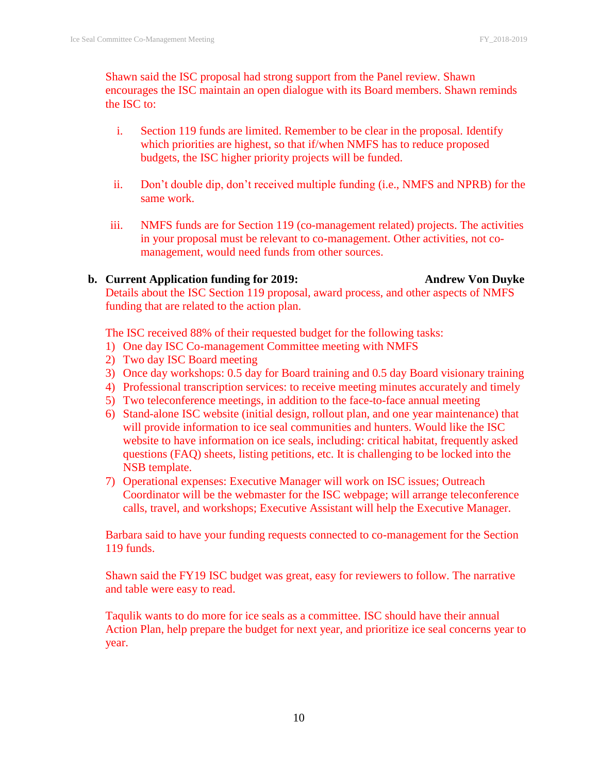Shawn said the ISC proposal had strong support from the Panel review. Shawn encourages the ISC maintain an open dialogue with its Board members. Shawn reminds the ISC to:

- i. Section 119 funds are limited. Remember to be clear in the proposal. Identify which priorities are highest, so that if/when NMFS has to reduce proposed budgets, the ISC higher priority projects will be funded.
- ii. Don't double dip, don't received multiple funding (i.e., NMFS and NPRB) for the same work.
- iii. NMFS funds are for Section 119 (co-management related) projects. The activities in your proposal must be relevant to co-management. Other activities, not comanagement, would need funds from other sources.

#### **b. Current Application funding for 2019: Andrew Von Duyke** Details about the ISC Section 119 proposal, award process, and other aspects of NMFS funding that are related to the action plan.

The ISC received 88% of their requested budget for the following tasks:

- 1) One day ISC Co-management Committee meeting with NMFS
- 2) Two day ISC Board meeting
- 3) Once day workshops: 0.5 day for Board training and 0.5 day Board visionary training
- 4) Professional transcription services: to receive meeting minutes accurately and timely
- 5) Two teleconference meetings, in addition to the face-to-face annual meeting
- 6) Stand-alone ISC website (initial design, rollout plan, and one year maintenance) that will provide information to ice seal communities and hunters. Would like the ISC website to have information on ice seals, including: critical habitat, frequently asked questions (FAQ) sheets, listing petitions, etc. It is challenging to be locked into the NSB template.
- 7) Operational expenses: Executive Manager will work on ISC issues; Outreach Coordinator will be the webmaster for the ISC webpage; will arrange teleconference calls, travel, and workshops; Executive Assistant will help the Executive Manager.

Barbara said to have your funding requests connected to co-management for the Section 119 funds.

Shawn said the FY19 ISC budget was great, easy for reviewers to follow. The narrative and table were easy to read.

Taqulik wants to do more for ice seals as a committee. ISC should have their annual Action Plan, help prepare the budget for next year, and prioritize ice seal concerns year to year.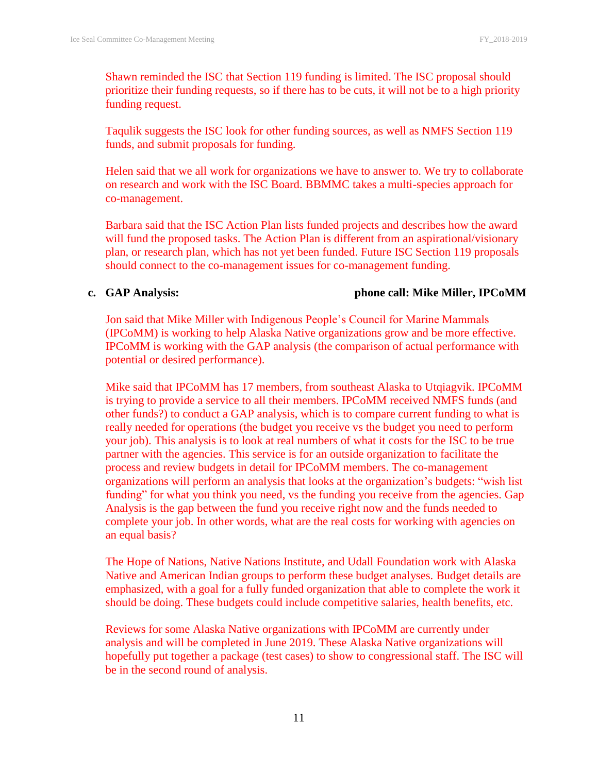Shawn reminded the ISC that Section 119 funding is limited. The ISC proposal should prioritize their funding requests, so if there has to be cuts, it will not be to a high priority funding request.

Taqulik suggests the ISC look for other funding sources, as well as NMFS Section 119 funds, and submit proposals for funding.

Helen said that we all work for organizations we have to answer to. We try to collaborate on research and work with the ISC Board. BBMMC takes a multi-species approach for co-management.

Barbara said that the ISC Action Plan lists funded projects and describes how the award will fund the proposed tasks. The Action Plan is different from an aspirational/visionary plan, or research plan, which has not yet been funded. Future ISC Section 119 proposals should connect to the co-management issues for co-management funding.

#### **c. GAP Analysis: phone call: Mike Miller, IPCoMM**

Jon said that Mike Miller with Indigenous People's Council for Marine Mammals (IPCoMM) is working to help Alaska Native organizations grow and be more effective. IPCoMM is working with the GAP analysis (the comparison of actual performance with potential or desired performance).

Mike said that IPCoMM has 17 members, from southeast Alaska to Utqiagvik. IPCoMM is trying to provide a service to all their members. IPCoMM received NMFS funds (and other funds?) to conduct a GAP analysis, which is to compare current funding to what is really needed for operations (the budget you receive vs the budget you need to perform your job). This analysis is to look at real numbers of what it costs for the ISC to be true partner with the agencies. This service is for an outside organization to facilitate the process and review budgets in detail for IPCoMM members. The co-management organizations will perform an analysis that looks at the organization's budgets: "wish list funding" for what you think you need, vs the funding you receive from the agencies. Gap Analysis is the gap between the fund you receive right now and the funds needed to complete your job. In other words, what are the real costs for working with agencies on an equal basis?

The Hope of Nations, Native Nations Institute, and Udall Foundation work with Alaska Native and American Indian groups to perform these budget analyses. Budget details are emphasized, with a goal for a fully funded organization that able to complete the work it should be doing. These budgets could include competitive salaries, health benefits, etc.

Reviews for some Alaska Native organizations with IPCoMM are currently under analysis and will be completed in June 2019. These Alaska Native organizations will hopefully put together a package (test cases) to show to congressional staff. The ISC will be in the second round of analysis.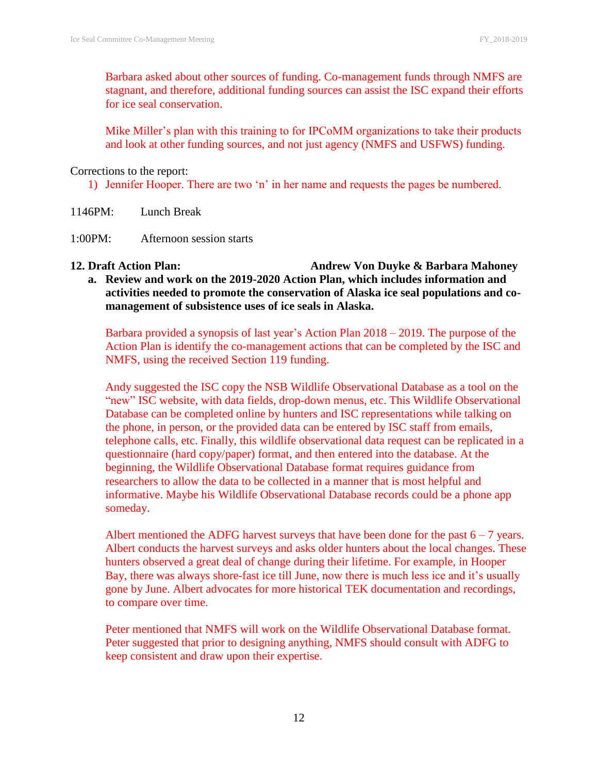Barbara asked about other sources of funding. Co-management funds through NMFS are stagnant, and therefore, additional funding sources can assist the ISC expand their efforts for ice seal conservation.

Mike Miller's plan with this training to for IPCoMM organizations to take their products and look at other funding sources, and not just agency (NMFS and USFWS) funding.

Corrections to the report:

1) Jennifer Hooper. There are two 'n' in her name and requests the pages be numbered.

- 1146PM: Lunch Break
- 1:00PM: Afternoon session starts
- **12. Draft Action Plan: Andrew Von Duyke & Barbara Mahoney a. Review and work on the 2019-2020 Action Plan, which includes information and activities needed to promote the conservation of Alaska ice seal populations and comanagement of subsistence uses of ice seals in Alaska.**

Barbara provided a synopsis of last year's Action Plan 2018 – 2019. The purpose of the Action Plan is identify the co-management actions that can be completed by the ISC and NMFS, using the received Section 119 funding.

Andy suggested the ISC copy the NSB Wildlife Observational Database as a tool on the "new" ISC website, with data fields, drop-down menus, etc. This Wildlife Observational Database can be completed online by hunters and ISC representations while talking on the phone, in person, or the provided data can be entered by ISC staff from emails, telephone calls, etc. Finally, this wildlife observational data request can be replicated in a questionnaire (hard copy/paper) format, and then entered into the database. At the beginning, the Wildlife Observational Database format requires guidance from researchers to allow the data to be collected in a manner that is most helpful and informative. Maybe his Wildlife Observational Database records could be a phone app someday.

Albert mentioned the ADFG harvest surveys that have been done for the past  $6 - 7$  years. Albert conducts the harvest surveys and asks older hunters about the local changes. These hunters observed a great deal of change during their lifetime. For example, in Hooper Bay, there was always shore-fast ice till June, now there is much less ice and it's usually gone by June. Albert advocates for more historical TEK documentation and recordings, to compare over time.

Peter mentioned that NMFS will work on the Wildlife Observational Database format. Peter suggested that prior to designing anything, NMFS should consult with ADFG to keep consistent and draw upon their expertise.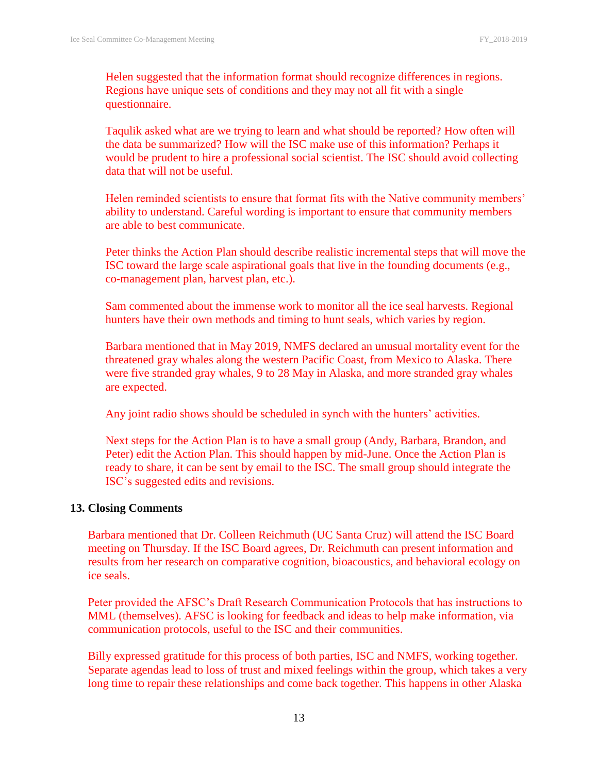Helen suggested that the information format should recognize differences in regions. Regions have unique sets of conditions and they may not all fit with a single questionnaire.

Taqulik asked what are we trying to learn and what should be reported? How often will the data be summarized? How will the ISC make use of this information? Perhaps it would be prudent to hire a professional social scientist. The ISC should avoid collecting data that will not be useful.

Helen reminded scientists to ensure that format fits with the Native community members' ability to understand. Careful wording is important to ensure that community members are able to best communicate.

Peter thinks the Action Plan should describe realistic incremental steps that will move the ISC toward the large scale aspirational goals that live in the founding documents (e.g., co-management plan, harvest plan, etc.).

Sam commented about the immense work to monitor all the ice seal harvests. Regional hunters have their own methods and timing to hunt seals, which varies by region.

Barbara mentioned that in May 2019, NMFS declared an unusual mortality event for the threatened gray whales along the western Pacific Coast, from Mexico to Alaska. There were five stranded gray whales, 9 to 28 May in Alaska, and more stranded gray whales are expected.

Any joint radio shows should be scheduled in synch with the hunters' activities.

Next steps for the Action Plan is to have a small group (Andy, Barbara, Brandon, and Peter) edit the Action Plan. This should happen by mid-June. Once the Action Plan is ready to share, it can be sent by email to the ISC. The small group should integrate the ISC's suggested edits and revisions.

#### **13. Closing Comments**

Barbara mentioned that Dr. Colleen Reichmuth (UC Santa Cruz) will attend the ISC Board meeting on Thursday. If the ISC Board agrees, Dr. Reichmuth can present information and results from her research on comparative cognition, bioacoustics, and behavioral ecology on ice seals.

Peter provided the AFSC's Draft Research Communication Protocols that has instructions to MML (themselves). AFSC is looking for feedback and ideas to help make information, via communication protocols, useful to the ISC and their communities.

Billy expressed gratitude for this process of both parties, ISC and NMFS, working together. Separate agendas lead to loss of trust and mixed feelings within the group, which takes a very long time to repair these relationships and come back together. This happens in other Alaska